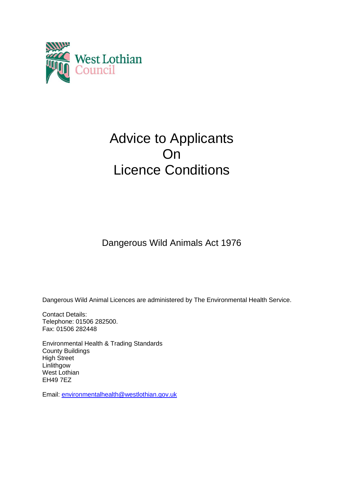

# Advice to Applicants On Licence Conditions

Dangerous Wild Animals Act 1976

Dangerous Wild Animal Licences are administered by The Environmental Health Service.

Contact Details: Telephone: 01506 282500. Fax: 01506 282448

Environmental Health & Trading Standards County Buildings High Street **Linlithgow** West Lothian EH49 7EZ

Email: [environmentalhealth@westlothian.gov.uk](mailto:environmentalhealth@westlothian.gov.uk)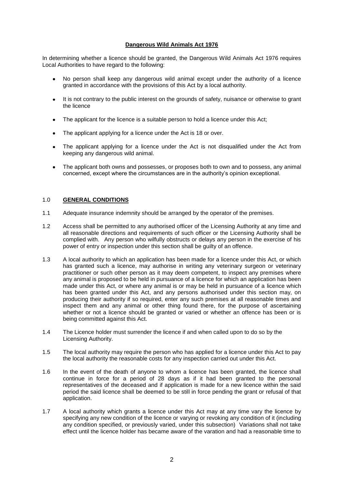## **Dangerous Wild Animals Act 1976**

In determining whether a licence should be granted, the Dangerous Wild Animals Act 1976 requires Local Authorities to have regard to the following:

- No person shall keep any dangerous wild animal except under the authority of a licence  $\bullet$ granted in accordance with the provisions of this Act by a local authority.
- $\bullet$ It is not contrary to the public interest on the grounds of safety, nuisance or otherwise to grant the licence
- The applicant for the licence is a suitable person to hold a licence under this Act;  $\bullet$
- The applicant applying for a licence under the Act is 18 or over.  $\bullet$
- The applicant applying for a licence under the Act is not disqualified under the Act from keeping any dangerous wild animal.
- The applicant both owns and possesses, or proposes both to own and to possess, any animal  $\bullet$ concerned, except where the circumstances are in the authority's opinion exceptional.

## 1.0 **GENERAL CONDITIONS**

- 1.1 Adequate insurance indemnity should be arranged by the operator of the premises.
- 1.2 Access shall be permitted to any authorised officer of the Licensing Authority at any time and all reasonable directions and requirements of such officer or the Licensing Authority shall be complied with. Any person who wilfully obstructs or delays any person in the exercise of his power of entry or inspection under this section shall be guilty of an offence.
- 1.3 A local authority to which an application has been made for a licence under this Act, or which has granted such a licence, may authorise in writing any veterinary surgeon or veterinary practitioner or such other person as it may deem competent, to inspect any premises where any animal is proposed to be held in pursuance of a licence for which an application has been made under this Act, or where any animal is or may be held in pursuance of a licence which has been granted under this Act, and any persons authorised under this section may, on producing their authority if so required, enter any such premises at all reasonable times and inspect them and any animal or other thing found there, for the purpose of ascertaining whether or not a licence should be granted or varied or whether an offence has been or is being committed against this Act.
- 1.4 The Licence holder must surrender the licence if and when called upon to do so by the Licensing Authority.
- 1.5 The local authority may require the person who has applied for a licence under this Act to pay the local authority the reasonable costs for any inspection carried out under this Act.
- 1.6 In the event of the death of anyone to whom a licence has been granted, the licence shall continue in force for a period of 28 days as if it had been granted to the personal representatives of the deceased and if application is made for a new licence within the said period the said licence shall be deemed to be still in force pending the grant or refusal of that application.
- 1.7 A local authority which grants a licence under this Act may at any time vary the licence by specifying any new condition of the licence or varying or revoking any condition of it (including any condition specified, or previously varied, under this subsection) Variations shall not take effect until the licence holder has became aware of the varation and had a reasonable time to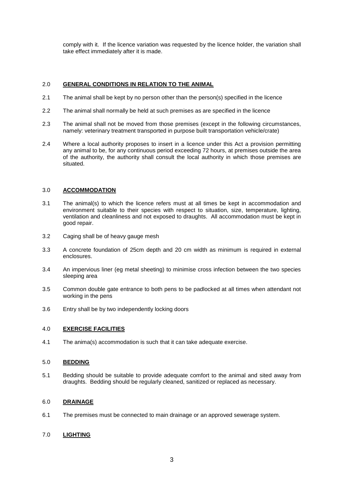comply with it. If the licence variation was requested by the licence holder, the variation shall take effect immediately after it is made.

# 2.0 **GENERAL CONDITIONS IN RELATION TO THE ANIMAL**

- 2.1 The animal shall be kept by no person other than the person(s) specified in the licence
- 2.2 The animal shall normally be held at such premises as are specified in the licence
- 2.3 The animal shall not be moved from those premises (except in the following circumstances, namely: veterinary treatment transported in purpose built transportation vehicle/crate)
- 2.4 Where a local authority proposes to insert in a licence under this Act a provision permitting any animal to be, for any continuous period exceeding 72 hours, at premises outside the area of the authority, the authority shall consult the local authority in which those premises are situated.

#### 3.0 **ACCOMMODATION**

- 3.1 The animal(s) to which the licence refers must at all times be kept in accommodation and environment suitable to their species with respect to situation, size, temperature, lighting, ventilation and cleanliness and not exposed to draughts. All accommodation must be kept in good repair.
- 3.2 Caging shall be of heavy gauge mesh
- 3.3 A concrete foundation of 25cm depth and 20 cm width as minimum is required in external enclosures.
- 3.4 An impervious liner (eg metal sheeting) to minimise cross infection between the two species sleeping area
- 3.5 Common double gate entrance to both pens to be padlocked at all times when attendant not working in the pens
- 3.6 Entry shall be by two independently locking doors

#### 4.0 **EXERCISE FACILITIES**

4.1 The anima(s) accommodation is such that it can take adequate exercise.

## 5.0 **BEDDING**

5.1 Bedding should be suitable to provide adequate comfort to the animal and sited away from draughts. Bedding should be regularly cleaned, sanitized or replaced as necessary.

#### 6.0 **DRAINAGE**

6.1 The premises must be connected to main drainage or an approved sewerage system.

#### 7.0 **LIGHTING**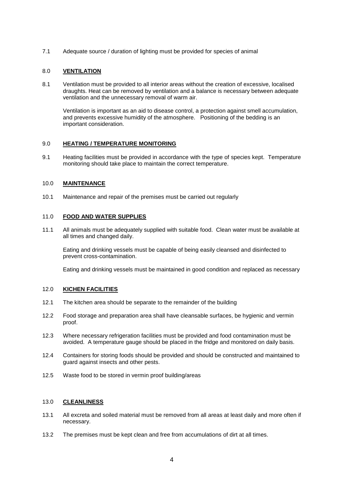7.1 Adequate source / duration of lighting must be provided for species of animal

## 8.0 **VENTILATION**

8.1 Ventilation must be provided to all interior areas without the creation of excessive, localised draughts. Heat can be removed by ventilation and a balance is necessary between adequate ventilation and the unnecessary removal of warm air.

Ventilation is important as an aid to disease control, a protection against smell accumulation, and prevents excessive humidity of the atmosphere. Positioning of the bedding is an important consideration.

## 9.0 **HEATING / TEMPERATURE MONITORING**

9.1 Heating facilities must be provided in accordance with the type of species kept. Temperature monitoring should take place to maintain the correct temperature.

## 10.0 **MAINTENANCE**

10.1 Maintenance and repair of the premises must be carried out regularly

## 11.0 **FOOD AND WATER SUPPLIES**

11.1 All animals must be adequately supplied with suitable food. Clean water must be available at all times and changed daily.

Eating and drinking vessels must be capable of being easily cleansed and disinfected to prevent cross-contamination.

Eating and drinking vessels must be maintained in good condition and replaced as necessary

# 12.0 **KICHEN FACILITIES**

- 12.1 The kitchen area should be separate to the remainder of the building
- 12.2 Food storage and preparation area shall have cleansable surfaces, be hygienic and vermin proof.
- 12.3 Where necessary refrigeration facilities must be provided and food contamination must be avoided. A temperature gauge should be placed in the fridge and monitored on daily basis.
- 12.4 Containers for storing foods should be provided and should be constructed and maintained to guard against insects and other pests.
- 12.5 Waste food to be stored in vermin proof building/areas

## 13.0 **CLEANLINESS**

- 13.1 All excreta and soiled material must be removed from all areas at least daily and more often if necessary.
- 13.2 The premises must be kept clean and free from accumulations of dirt at all times.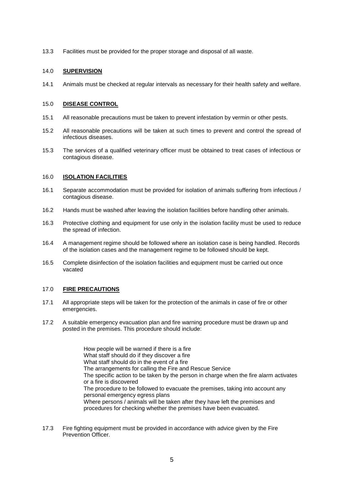13.3 Facilities must be provided for the proper storage and disposal of all waste.

## 14.0 **SUPERVISION**

14.1 Animals must be checked at regular intervals as necessary for their health safety and welfare.

## 15.0 **DISEASE CONTROL**

- 15.1 All reasonable precautions must be taken to prevent infestation by vermin or other pests.
- 15.2 All reasonable precautions will be taken at such times to prevent and control the spread of infectious diseases.
- 15.3 The services of a qualified veterinary officer must be obtained to treat cases of infectious or contagious disease.

# 16.0 **ISOLATION FACILITIES**

- 16.1 Separate accommodation must be provided for isolation of animals suffering from infectious / contagious disease.
- 16.2 Hands must be washed after leaving the isolation facilities before handling other animals.
- 16.3 Protective clothing and equipment for use only in the isolation facility must be used to reduce the spread of infection.
- 16.4 A management regime should be followed where an isolation case is being handled. Records of the isolation cases and the management regime to be followed should be kept.
- 16.5 Complete disinfection of the isolation facilities and equipment must be carried out once vacated

# 17.0 **FIRE PRECAUTIONS**

- 17.1 All appropriate steps will be taken for the protection of the animals in case of fire or other emergencies.
- 17.2 A suitable emergency evacuation plan and fire warning procedure must be drawn up and posted in the premises. This procedure should include:

How people will be warned if there is a fire What staff should do if they discover a fire What staff should do in the event of a fire The arrangements for calling the Fire and Rescue Service The specific action to be taken by the person in charge when the fire alarm activates or a fire is discovered The procedure to be followed to evacuate the premises, taking into account any personal emergency egress plans Where persons / animals will be taken after they have left the premises and procedures for checking whether the premises have been evacuated.

17.3 Fire fighting equipment must be provided in accordance with advice given by the Fire Prevention Officer.